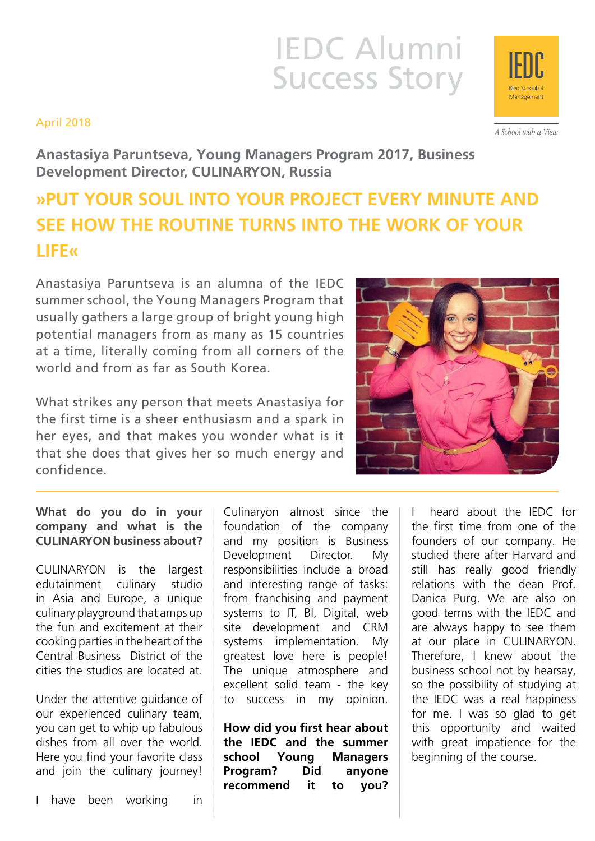# IEDC Alumni Success Story

### April 2018

A School with a View

**Anastasiya Paruntseva, Young Managers Program 2017, Business Development Director, CULINARYON, Russia**

# **»PUT YOUR SOUL INTO YOUR PROJECT EVERY MINUTE AND SEE HOW THE ROUTINE TURNS INTO THE WORK OF YOUR LIFE«**

Anastasiya Paruntseva is an alumna of the IEDC summer school, the Young Managers Program that usually gathers a large group of bright young high potential managers from as many as 15 countries at a time, literally coming from all corners of the world and from as far as South Korea.

What strikes any person that meets Anastasiya for the first time is a sheer enthusiasm and a spark in her eyes, and that makes you wonder what is it that she does that gives her so much energy and confidence.

## **What do you do in your company and what is the CULINARYON business about?**

CULINARYON is the largest edutainment culinary studio in Asia and Europe, a unique culinary playground that amps up the fun and excitement at their cooking parties in the heart of the Central Business District of the cities the studios are located at.

Under the attentive guidance of our experienced culinary team, you can get to whip up fabulous dishes from all over the world. Here you find your favorite class and join the culinary journey!

I have been working in

Culinaryon almost since the foundation of the company and my position is Business Development Director. My responsibilities include a broad and interesting range of tasks: from franchising and payment systems to IT, BI, Digital, web site development and CRM systems implementation. My greatest love here is people! The unique atmosphere and excellent solid team - the key to success in my opinion.

**How did you first hear about the IEDC and the summer school Young Managers Program? Did anyone recommend it to you?**